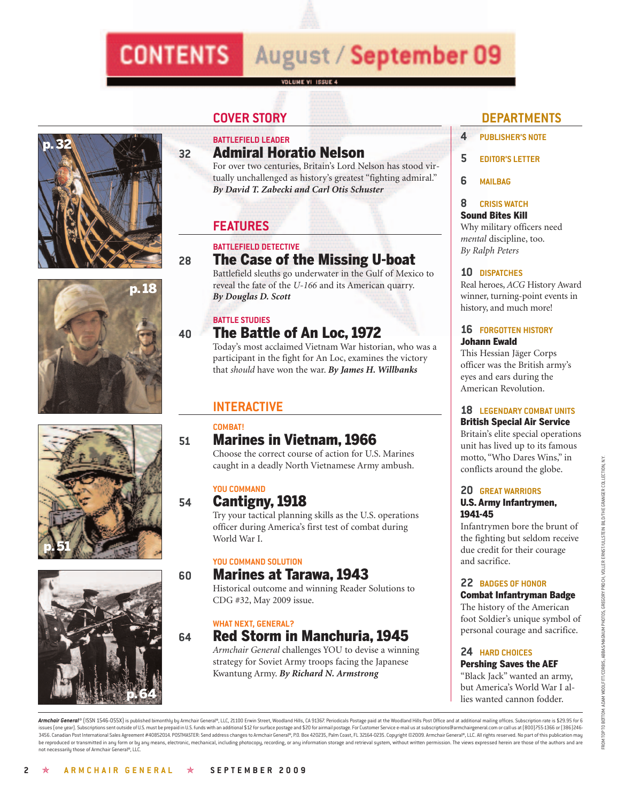# **CONTENTS** August / September 09

#### VOLUME VI ISSUE 4









#### **BATTLEFIELD LEADER 32 Admiral Horatio Nelson**

For over two centuries, Britain's Lord Nelson has stood virtually unchallenged as history's greatest "fighting admiral." *By David T. Zabecki and Carl Otis Schuster*

#### **FEATURES**

#### **BATTLEFIELD DETECTIVE**

#### **28 The Case of the Missing U-boat**

Battlefield sleuths go underwater in the Gulf of Mexico to reveal the fate of the *U-166* and its American quarry. *By Douglas D. Scott*

#### **BATTLE STUDIES**

### **40 The Battle of An Loc, 1972**

Today's most acclaimed Vietnam War historian, who was a participant in the fight for An Loc, examines the victory that *should* have won the war. *By James H. Willbanks*

#### **INTERACTIVE**

#### **COMBAT!**

### **51 Marines in Vietnam, 1966**

Choose the correct course of action for U.S. Marines caught in a deadly North Vietnamese Army ambush.

#### **YOU COMMAND**

#### **54 Cantigny, 1918**

Try your tactical planning skills as the U.S. operations officer during America's first test of combat during World War I.

#### **YOU COMMAND SOLUTION**

#### **60 Marines at Tarawa, 1943**

Historical outcome and winning Reader Solutions to CDG #32, May 2009 issue.

#### **WHAT NEXT, GENERAL?**

### **64 Red Storm in Manchuria, 1945**

*Armchair General* challenges YOU to devise a winning strategy for Soviet Army troops facing the Japanese Kwantung Army. *By Richard N. Armstrong*

#### **COVER STORY DEPARTMENTS**

- **4 PUBLISHER'S NOTE**
- **5 EDITOR'S LETTER**
- **6 MAILBAG**

#### **8 CRISIS WATCH**

#### **Sound Bites Kill**

Why military officers need *mental* discipline, too. *By Ralph Peters*

#### **10 DISPATCHES**

Real heroes, *ACG* History Award winner, turning-point events in history, and much more!

#### **16 FORGOTTEN HISTORY Johann Ewald**

This Hessian Jäger Corps officer was the British army's eyes and ears during the American Revolution.

#### **18 LEGENDARY COMBAT UNITS British Special Air Service**

Britain's elite special operations unit has lived up to its famous motto, "Who Dares Wins," in conflicts around the globe.

#### **20 GREAT WARRIORS U.S. Army Infantrymen, 1941-45**

Infantrymen bore the brunt of the fighting but seldom receive due credit for their courage and sacrifice.

#### **22 BADGES OF HONOR**

#### **Combat Infantryman Badge**

The history of the American foot Soldier's unique symbol of personal courage and sacrifice.

#### **24 HARD CHOICES Pershing Saves the AEF**

"Black Jack" wanted an army, but America's World War I allies wanted cannon fodder.

Armchair General® (ISSN 1546-055X) is published bimonthly by Armchair General®, LLC, 21100 Erwin Street, Woodland Hills, CA 91367. Periodicals Postage paid at the Woodland Hills Post Office and at additional mailing office issues (one year). Subscriptions sent outside of U.S. must be prepaid in U.S. funds with an additional \$12 for surface postage and \$20 for airmail postage. For Customer Service e-mail us at subscriptions@armchairgeneral.co 3456. Canadian Post International Sales Agreement #40852014. POSTMASTER: Send address changes to Armchair General®, P.O. Box 420235, Palm Coast, FL 32164-0235. Copyright @2009. Armchair General®, LLC. All rights reserved. be reproduced or transmitted in any form or by any means, electronic, mechanical, including photocopy, recording, or any information storage and retrieval system, without written permission. The views expressed herein are not necessarily those of Armchair General®, LLC.